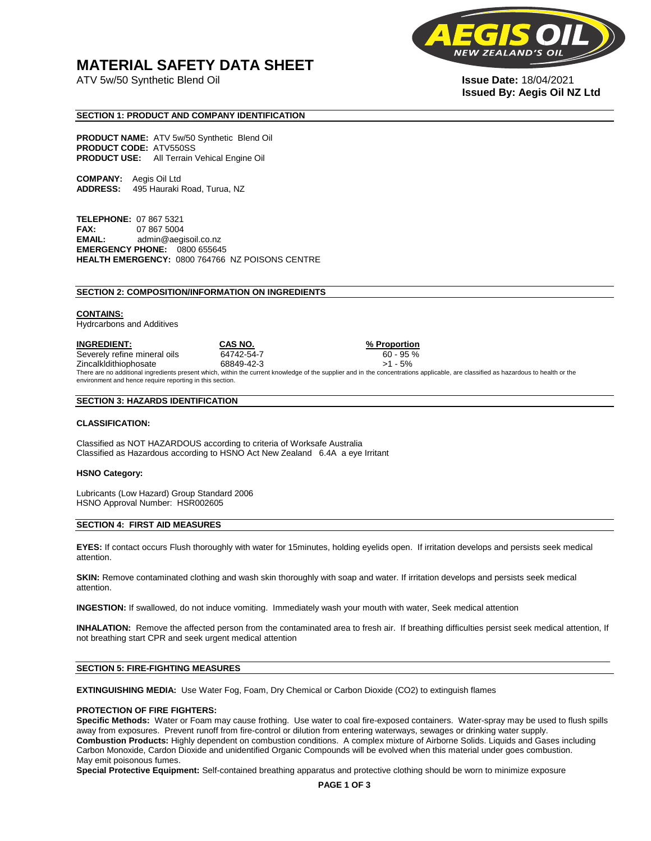## **MATERIAL SAFETY DATA SHEET**

ATV 5w/50 Synthetic Blend Oil **Issue Date:** 18/04/2021



# **Issued By: Aegis Oil NZ Ltd**

#### **SECTION 1: PRODUCT AND COMPANY IDENTIFICATION**

**PRODUCT NAME:** ATV 5w/50 Synthetic Blend Oil **PRODUCT CODE:** ATV550SS **PRODUCT USE:** All Terrain Vehical Engine Oil

**COMPANY:** Aegis Oil Ltd **ADDRESS:** 495 Hauraki Road, Turua, NZ

**TELEPHONE:** 07 867 5321 **FAX:** 07 867 5004 **EMAIL:** admin@aegisoil.co.nz **EMERGENCY PHONE:** 0800 655645 **HEALTH EMERGENCY:** 0800 764766 NZ POISONS CENTRE

#### **SECTION 2: COMPOSITION/INFORMATION ON INGREDIENTS**

#### **CONTAINS:**

Hydrcarbons and Additives

**INGREDIENT: CAS NO. % Proportion**  Severely refine mineral oils 64742-54-7 60 - 95 % Zincalkldithiophosate 68849-42-3 >1 - 5% There are no additional ingredients present which, within the current knowledge of the supplier and in the concentrations applicable, are classified as hazardous to health or the environment and hence require reporting in this section.

#### **SECTION 3: HAZARDS IDENTIFICATION**

#### **CLASSIFICATION:**

Classified as NOT HAZARDOUS according to criteria of Worksafe Australia Classified as Hazardous according to HSNO Act New Zealand 6.4A a eye Irritant

#### **HSNO Category:**

Lubricants (Low Hazard) Group Standard 2006 HSNO Approval Number: HSR002605

#### **SECTION 4: FIRST AID MEASURES**

**EYES:** If contact occurs Flush thoroughly with water for 15minutes, holding eyelids open. If irritation develops and persists seek medical attention.

**SKIN:** Remove contaminated clothing and wash skin thoroughly with soap and water. If irritation develops and persists seek medical attention.

**INGESTION:** If swallowed, do not induce vomiting. Immediately wash your mouth with water, Seek medical attention

**INHALATION:** Remove the affected person from the contaminated area to fresh air. If breathing difficulties persist seek medical attention, If not breathing start CPR and seek urgent medical attention

#### **SECTION 5: FIRE-FIGHTING MEASURES**

**EXTINGUISHING MEDIA:** Use Water Fog, Foam, Dry Chemical or Carbon Dioxide (CO2) to extinguish flames

#### **PROTECTION OF FIRE FIGHTERS:**

**Specific Methods:** Water or Foam may cause frothing. Use water to coal fire-exposed containers. Water-spray may be used to flush spills away from exposures. Prevent runoff from fire-control or dilution from entering waterways, sewages or drinking water supply. **Combustion Products:** Highly dependent on combustion conditions. A complex mixture of Airborne Solids. Liquids and Gases including Carbon Monoxide, Cardon Dioxide and unidentified Organic Compounds will be evolved when this material under goes combustion. May emit poisonous fumes.

**Special Protective Equipment:** Self-contained breathing apparatus and protective clothing should be worn to minimize exposure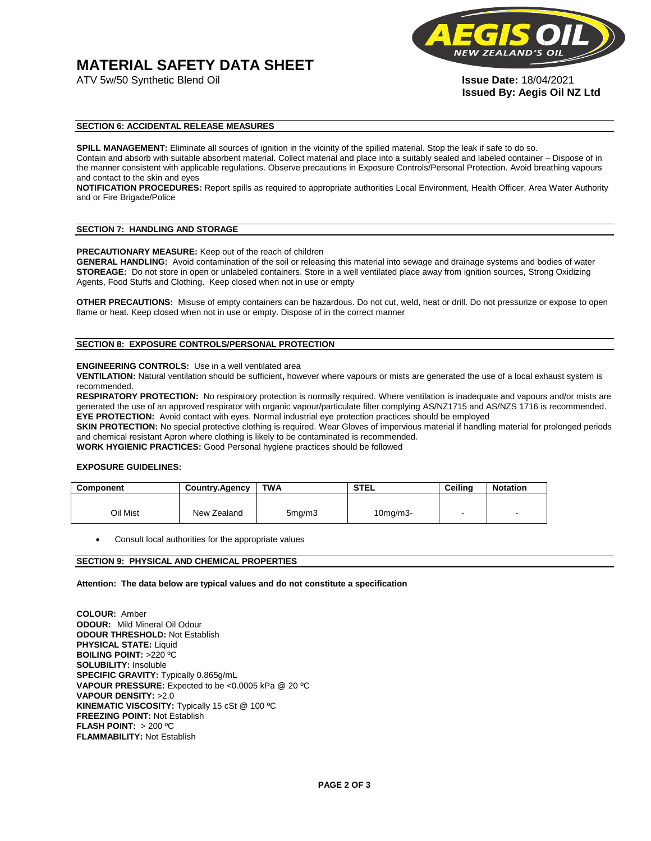# **MATERIAL SAFETY DATA SHEET**



**Issued By: Aegis Oil NZ Ltd** 

#### **SECTION 6: ACCIDENTAL RELEASE MEASURES**

**SPILL MANAGEMENT:** Eliminate all sources of ignition in the vicinity of the spilled material. Stop the leak if safe to do so. Contain and absorb with suitable absorbent material. Collect material and place into a suitably sealed and labeled container – Dispose of in the manner consistent with applicable regulations. Observe precautions in Exposure Controls/Personal Protection. Avoid breathing vapours and contact to the skin and eyes

**NOTIFICATION PROCEDURES:** Report spills as required to appropriate authorities Local Environment, Health Officer, Area Water Authority and or Fire Brigade/Police

#### **SECTION 7: HANDLING AND STORAGE**

**PRECAUTIONARY MEASURE:** Keep out of the reach of children

**GENERAL HANDLING:** Avoid contamination of the soil or releasing this material into sewage and drainage systems and bodies of water **STOREAGE:** Do not store in open or unlabeled containers. Store in a well ventilated place away from ignition sources, Strong Oxidizing Agents, Food Stuffs and Clothing. Keep closed when not in use or empty

**OTHER PRECAUTIONS:** Misuse of empty containers can be hazardous. Do not cut, weld, heat or drill. Do not pressurize or expose to open flame or heat. Keep closed when not in use or empty. Dispose of in the correct manner

### **SECTION 8: EXPOSURE CONTROLS/PERSONAL PROTECTION**

#### **ENGINEERING CONTROLS:** Use in a well ventilated area

**VENTILATION:** Natural ventilation should be sufficient**,** however where vapours or mists are generated the use of a local exhaust system is recommended.

**RESPIRATORY PROTECTION:** No respiratory protection is normally required. Where ventilation is inadequate and vapours and/or mists are generated the use of an approved respirator with organic vapour/particulate filter complying AS/NZ1715 and AS/NZS 1716 is recommended. **EYE PROTECTION:** Avoid contact with eyes. Normal industrial eye protection practices should be employed

**SKIN PROTECTION:** No special protective clothing is required. Wear Gloves of impervious material if handling material for prolonged periods and chemical resistant Apron where clothing is likely to be contaminated is recommended.

**WORK HYGIENIC PRACTICES:** Good Personal hygiene practices should be followed

#### **EXPOSURE GUIDELINES:**

| <b>Component</b> | <b>Country.Agency</b> | <b>TWA</b>          | <b>STEL</b>    | Ceilina | <b>Notation</b>          |
|------------------|-----------------------|---------------------|----------------|---------|--------------------------|
|                  |                       |                     |                |         |                          |
| Oil Mist         | New Zealand           | 5 <sub>mq</sub> /m3 | $10$ mg/m $3-$ |         | $\overline{\phantom{a}}$ |

Consult local authorities for the appropriate values

#### **SECTION 9: PHYSICAL AND CHEMICAL PROPERTIES**

**Attention: The data below are typical values and do not constitute a specification** 

**COLOUR:** Amber **ODOUR:** Mild Mineral Oil Odour **ODOUR THRESHOLD:** Not Establish **PHYSICAL STATE:** Liquid **BOILING POINT:** >220 ºC **SOLUBILITY:** Insoluble **SPECIFIC GRAVITY:** Typically 0.865g/mL **VAPOUR PRESSURE:** Expected to be <0.0005 kPa @ 20 ºC **VAPOUR DENSITY:** >2.0 **KINEMATIC VISCOSITY:** Typically 15 cSt @ 100 ºC **FREEZING POINT: Not Establish FLASH POINT:** > 200 ºC **FLAMMABILITY:** Not Establish